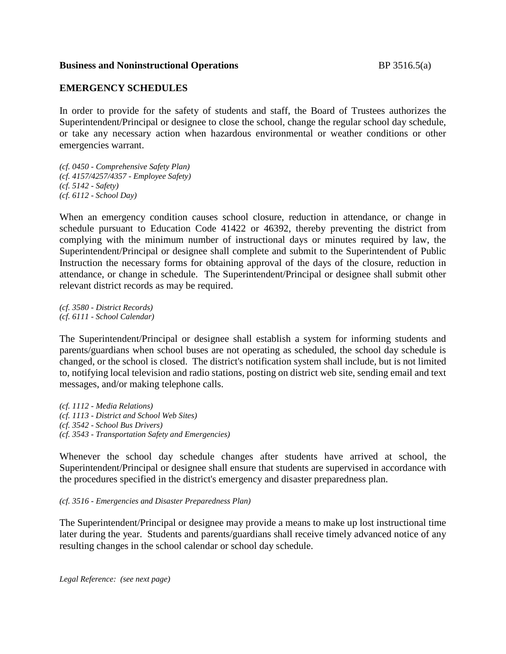## **Business and Noninstructional Operations** BP 3516.5(a)

## **EMERGENCY SCHEDULES**

In order to provide for the safety of students and staff, the Board of Trustees authorizes the Superintendent/Principal or designee to close the school, change the regular school day schedule, or take any necessary action when hazardous environmental or weather conditions or other emergencies warrant.

*(cf. 0450 - Comprehensive Safety Plan) (cf. 4157/4257/4357 - Employee Safety) (cf. 5142 - Safety) (cf. 6112 - School Day)*

When an emergency condition causes school closure, reduction in attendance, or change in schedule pursuant to Education Code 41422 or 46392, thereby preventing the district from complying with the minimum number of instructional days or minutes required by law, the Superintendent/Principal or designee shall complete and submit to the Superintendent of Public Instruction the necessary forms for obtaining approval of the days of the closure, reduction in attendance, or change in schedule. The Superintendent/Principal or designee shall submit other relevant district records as may be required.

*(cf. 3580 - District Records) (cf. 6111 - School Calendar)*

The Superintendent/Principal or designee shall establish a system for informing students and parents/guardians when school buses are not operating as scheduled, the school day schedule is changed, or the school is closed. The district's notification system shall include, but is not limited to, notifying local television and radio stations, posting on district web site, sending email and text messages, and/or making telephone calls.

*(cf. 1112 - Media Relations) (cf. 1113 - District and School Web Sites) (cf. 3542 - School Bus Drivers) (cf. 3543 - Transportation Safety and Emergencies)*

Whenever the school day schedule changes after students have arrived at school, the Superintendent/Principal or designee shall ensure that students are supervised in accordance with the procedures specified in the district's emergency and disaster preparedness plan.

*(cf. 3516 - Emergencies and Disaster Preparedness Plan)*

The Superintendent/Principal or designee may provide a means to make up lost instructional time later during the year. Students and parents/guardians shall receive timely advanced notice of any resulting changes in the school calendar or school day schedule.

*Legal Reference: (see next page)*